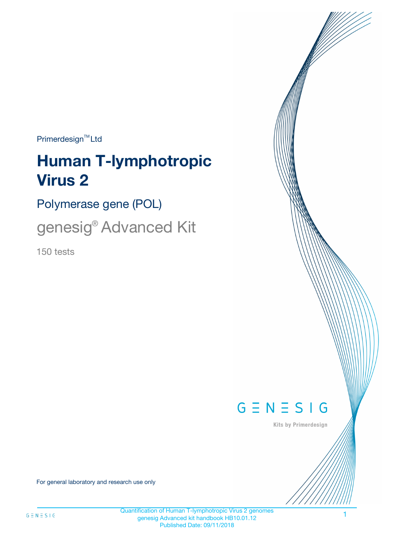$Primerdesign^{\text{TM}}Ltd$ 

# **Human T-lymphotropic Virus 2**

Polymerase gene (POL)

genesig® Advanced Kit

150 tests



Kits by Primerdesign

For general laboratory and research use only

Quantification of Human T-lymphotropic Virus 2 genomes genesig Advanced kit handbook HB10.01.12 Published Date: 09/11/2018

1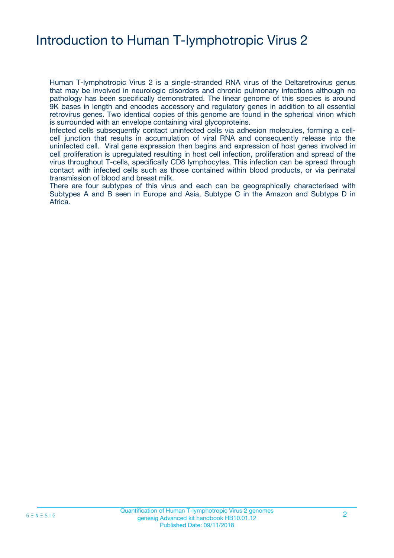### Introduction to Human T-lymphotropic Virus 2

Human T-lymphotropic Virus 2 is a single-stranded RNA virus of the Deltaretrovirus genus that may be involved in neurologic disorders and chronic pulmonary infections although no pathology has been specifically demonstrated. The linear genome of this species is around 9K bases in length and encodes accessory and regulatory genes in addition to all essential retrovirus genes. Two identical copies of this genome are found in the spherical virion which is surrounded with an envelope containing viral glycoproteins.

Infected cells subsequently contact uninfected cells via adhesion molecules, forming a cellcell junction that results in accumulation of viral RNA and consequently release into the uninfected cell. Viral gene expression then begins and expression of host genes involved in cell proliferation is upregulated resulting in host cell infection, proliferation and spread of the virus throughout T-cells, specifically CD8 lymphocytes. This infection can be spread through contact with infected cells such as those contained within blood products, or via perinatal transmission of blood and breast milk.

There are four subtypes of this virus and each can be geographically characterised with Subtypes A and B seen in Europe and Asia, Subtype C in the Amazon and Subtype D in Africa.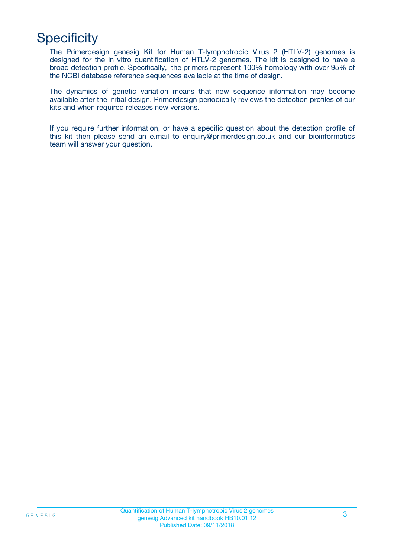# **Specificity**

The Primerdesign genesig Kit for Human T-lymphotropic Virus 2 (HTLV-2) genomes is designed for the in vitro quantification of HTLV-2 genomes. The kit is designed to have a broad detection profile. Specifically, the primers represent 100% homology with over 95% of the NCBI database reference sequences available at the time of design.

The dynamics of genetic variation means that new sequence information may become available after the initial design. Primerdesign periodically reviews the detection profiles of our kits and when required releases new versions.

If you require further information, or have a specific question about the detection profile of this kit then please send an e.mail to enquiry@primerdesign.co.uk and our bioinformatics team will answer your question.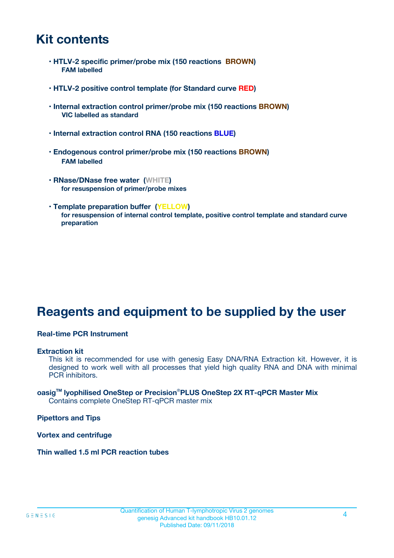### **Kit contents**

- **HTLV-2 specific primer/probe mix (150 reactions BROWN) FAM labelled**
- **HTLV-2 positive control template (for Standard curve RED)**
- **Internal extraction control primer/probe mix (150 reactions BROWN) VIC labelled as standard**
- **Internal extraction control RNA (150 reactions BLUE)**
- **Endogenous control primer/probe mix (150 reactions BROWN) FAM labelled**
- **RNase/DNase free water (WHITE) for resuspension of primer/probe mixes**
- **Template preparation buffer (YELLOW) for resuspension of internal control template, positive control template and standard curve preparation**

### **Reagents and equipment to be supplied by the user**

#### **Real-time PCR Instrument**

#### **Extraction kit**

This kit is recommended for use with genesig Easy DNA/RNA Extraction kit. However, it is designed to work well with all processes that yield high quality RNA and DNA with minimal PCR inhibitors.

#### **oasigTM lyophilised OneStep or Precision**®**PLUS OneStep 2X RT-qPCR Master Mix** Contains complete OneStep RT-qPCR master mix

**Pipettors and Tips**

**Vortex and centrifuge**

**Thin walled 1.5 ml PCR reaction tubes**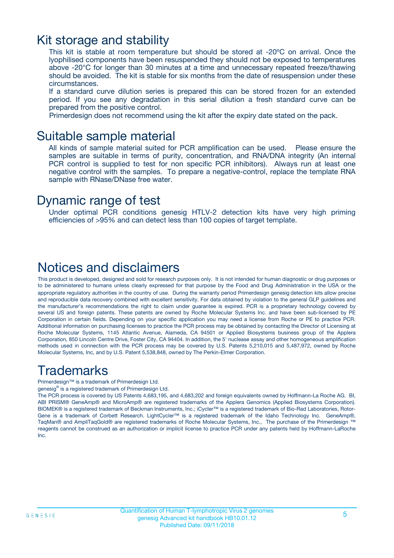### Kit storage and stability

This kit is stable at room temperature but should be stored at -20ºC on arrival. Once the lyophilised components have been resuspended they should not be exposed to temperatures above -20°C for longer than 30 minutes at a time and unnecessary repeated freeze/thawing should be avoided. The kit is stable for six months from the date of resuspension under these circumstances.

If a standard curve dilution series is prepared this can be stored frozen for an extended period. If you see any degradation in this serial dilution a fresh standard curve can be prepared from the positive control.

Primerdesign does not recommend using the kit after the expiry date stated on the pack.

### Suitable sample material

All kinds of sample material suited for PCR amplification can be used. Please ensure the samples are suitable in terms of purity, concentration, and RNA/DNA integrity (An internal PCR control is supplied to test for non specific PCR inhibitors). Always run at least one negative control with the samples. To prepare a negative-control, replace the template RNA sample with RNase/DNase free water.

### Dynamic range of test

Under optimal PCR conditions genesig HTLV-2 detection kits have very high priming efficiencies of >95% and can detect less than 100 copies of target template.

### Notices and disclaimers

This product is developed, designed and sold for research purposes only. It is not intended for human diagnostic or drug purposes or to be administered to humans unless clearly expressed for that purpose by the Food and Drug Administration in the USA or the appropriate regulatory authorities in the country of use. During the warranty period Primerdesign genesig detection kits allow precise and reproducible data recovery combined with excellent sensitivity. For data obtained by violation to the general GLP guidelines and the manufacturer's recommendations the right to claim under guarantee is expired. PCR is a proprietary technology covered by several US and foreign patents. These patents are owned by Roche Molecular Systems Inc. and have been sub-licensed by PE Corporation in certain fields. Depending on your specific application you may need a license from Roche or PE to practice PCR. Additional information on purchasing licenses to practice the PCR process may be obtained by contacting the Director of Licensing at Roche Molecular Systems, 1145 Atlantic Avenue, Alameda, CA 94501 or Applied Biosystems business group of the Applera Corporation, 850 Lincoln Centre Drive, Foster City, CA 94404. In addition, the 5' nuclease assay and other homogeneous amplification methods used in connection with the PCR process may be covered by U.S. Patents 5,210,015 and 5,487,972, owned by Roche Molecular Systems, Inc, and by U.S. Patent 5,538,848, owned by The Perkin-Elmer Corporation.

### Trademarks

Primerdesign™ is a trademark of Primerdesign Ltd.

genesig® is a registered trademark of Primerdesign Ltd.

The PCR process is covered by US Patents 4,683,195, and 4,683,202 and foreign equivalents owned by Hoffmann-La Roche AG. BI, ABI PRISM® GeneAmp® and MicroAmp® are registered trademarks of the Applera Genomics (Applied Biosystems Corporation). BIOMEK® is a registered trademark of Beckman Instruments, Inc.; iCycler™ is a registered trademark of Bio-Rad Laboratories, Rotor-Gene is a trademark of Corbett Research. LightCycler™ is a registered trademark of the Idaho Technology Inc. GeneAmp®, TaqMan® and AmpliTaqGold® are registered trademarks of Roche Molecular Systems, Inc., The purchase of the Primerdesign ™ reagents cannot be construed as an authorization or implicit license to practice PCR under any patents held by Hoffmann-LaRoche Inc.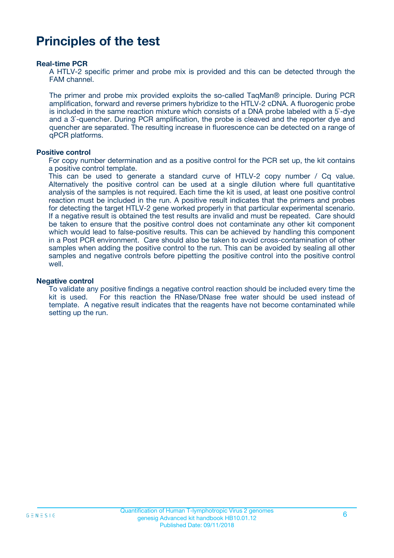### **Principles of the test**

#### **Real-time PCR**

A HTLV-2 specific primer and probe mix is provided and this can be detected through the FAM channel.

The primer and probe mix provided exploits the so-called TaqMan® principle. During PCR amplification, forward and reverse primers hybridize to the HTLV-2 cDNA. A fluorogenic probe is included in the same reaction mixture which consists of a DNA probe labeled with a 5`-dye and a 3`-quencher. During PCR amplification, the probe is cleaved and the reporter dye and quencher are separated. The resulting increase in fluorescence can be detected on a range of qPCR platforms.

#### **Positive control**

For copy number determination and as a positive control for the PCR set up, the kit contains a positive control template.

This can be used to generate a standard curve of HTLV-2 copy number / Cq value. Alternatively the positive control can be used at a single dilution where full quantitative analysis of the samples is not required. Each time the kit is used, at least one positive control reaction must be included in the run. A positive result indicates that the primers and probes for detecting the target HTLV-2 gene worked properly in that particular experimental scenario. If a negative result is obtained the test results are invalid and must be repeated. Care should be taken to ensure that the positive control does not contaminate any other kit component which would lead to false-positive results. This can be achieved by handling this component in a Post PCR environment. Care should also be taken to avoid cross-contamination of other samples when adding the positive control to the run. This can be avoided by sealing all other samples and negative controls before pipetting the positive control into the positive control well.

#### **Negative control**

To validate any positive findings a negative control reaction should be included every time the kit is used. For this reaction the RNase/DNase free water should be used instead of template. A negative result indicates that the reagents have not become contaminated while setting up the run.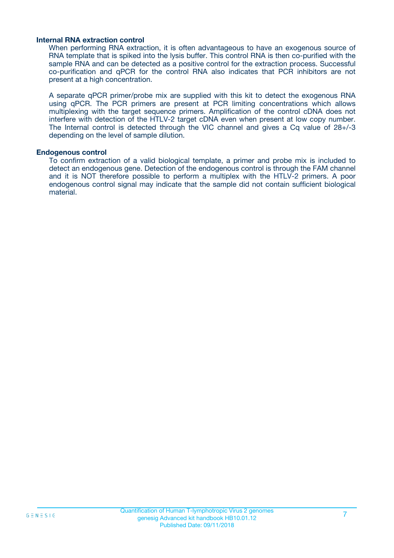#### **Internal RNA extraction control**

When performing RNA extraction, it is often advantageous to have an exogenous source of RNA template that is spiked into the lysis buffer. This control RNA is then co-purified with the sample RNA and can be detected as a positive control for the extraction process. Successful co-purification and qPCR for the control RNA also indicates that PCR inhibitors are not present at a high concentration.

A separate qPCR primer/probe mix are supplied with this kit to detect the exogenous RNA using qPCR. The PCR primers are present at PCR limiting concentrations which allows multiplexing with the target sequence primers. Amplification of the control cDNA does not interfere with detection of the HTLV-2 target cDNA even when present at low copy number. The Internal control is detected through the VIC channel and gives a Cq value of 28+/-3 depending on the level of sample dilution.

#### **Endogenous control**

To confirm extraction of a valid biological template, a primer and probe mix is included to detect an endogenous gene. Detection of the endogenous control is through the FAM channel and it is NOT therefore possible to perform a multiplex with the HTLV-2 primers. A poor endogenous control signal may indicate that the sample did not contain sufficient biological material.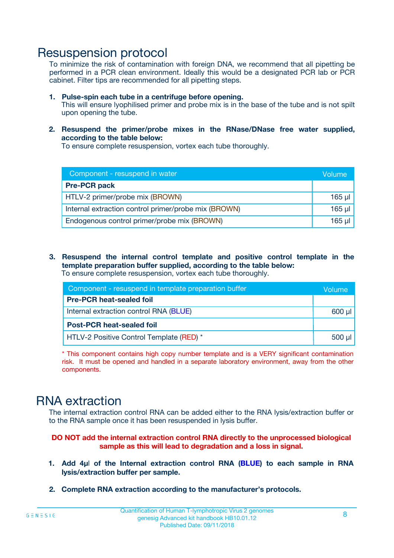### Resuspension protocol

To minimize the risk of contamination with foreign DNA, we recommend that all pipetting be performed in a PCR clean environment. Ideally this would be a designated PCR lab or PCR cabinet. Filter tips are recommended for all pipetting steps.

- **1. Pulse-spin each tube in a centrifuge before opening.** This will ensure lyophilised primer and probe mix is in the base of the tube and is not spilt upon opening the tube.
- **2. Resuspend the primer/probe mixes in the RNase/DNase free water supplied, according to the table below:**

To ensure complete resuspension, vortex each tube thoroughly.

| Component - resuspend in water                       |          |  |
|------------------------------------------------------|----------|--|
| <b>Pre-PCR pack</b>                                  |          |  |
| HTLV-2 primer/probe mix (BROWN)                      | $165$ µl |  |
| Internal extraction control primer/probe mix (BROWN) | $165$ µl |  |
| Endogenous control primer/probe mix (BROWN)          | 165 µl   |  |

**3. Resuspend the internal control template and positive control template in the template preparation buffer supplied, according to the table below:** To ensure complete resuspension, vortex each tube thoroughly.

| Component - resuspend in template preparation buffer |             |  |  |
|------------------------------------------------------|-------------|--|--|
| <b>Pre-PCR heat-sealed foil</b>                      |             |  |  |
| Internal extraction control RNA (BLUE)               |             |  |  |
| <b>Post-PCR heat-sealed foil</b>                     |             |  |  |
| HTLV-2 Positive Control Template (RED) *             | $500$ $\mu$ |  |  |

\* This component contains high copy number template and is a VERY significant contamination risk. It must be opened and handled in a separate laboratory environment, away from the other components.

### RNA extraction

The internal extraction control RNA can be added either to the RNA lysis/extraction buffer or to the RNA sample once it has been resuspended in lysis buffer.

#### **DO NOT add the internal extraction control RNA directly to the unprocessed biological sample as this will lead to degradation and a loss in signal.**

- **1. Add 4µ**l **of the Internal extraction control RNA (BLUE) to each sample in RNA lysis/extraction buffer per sample.**
- **2. Complete RNA extraction according to the manufacturer's protocols.**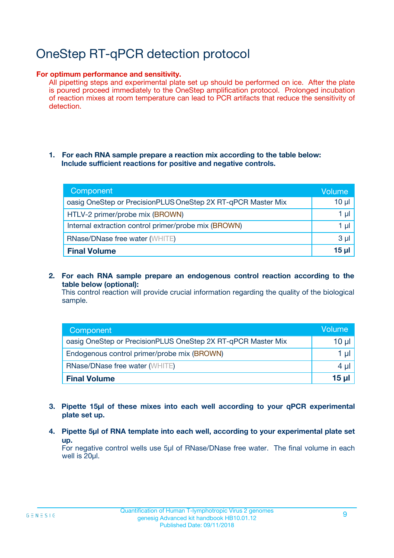# OneStep RT-qPCR detection protocol

#### **For optimum performance and sensitivity.**

All pipetting steps and experimental plate set up should be performed on ice. After the plate is poured proceed immediately to the OneStep amplification protocol. Prolonged incubation of reaction mixes at room temperature can lead to PCR artifacts that reduce the sensitivity of detection.

#### **1. For each RNA sample prepare a reaction mix according to the table below: Include sufficient reactions for positive and negative controls.**

| Component                                                    | Volume   |
|--------------------------------------------------------------|----------|
| oasig OneStep or PrecisionPLUS OneStep 2X RT-qPCR Master Mix | $10 \mu$ |
| HTLV-2 primer/probe mix (BROWN)                              | 1 µl     |
| Internal extraction control primer/probe mix (BROWN)         | 1 µI     |
| <b>RNase/DNase free water (WHITE)</b>                        | $3 \mu$  |
| <b>Final Volume</b>                                          | 15 ul    |

**2. For each RNA sample prepare an endogenous control reaction according to the table below (optional):**

This control reaction will provide crucial information regarding the quality of the biological sample.

| Component                                                    | Volume          |
|--------------------------------------------------------------|-----------------|
| oasig OneStep or PrecisionPLUS OneStep 2X RT-qPCR Master Mix | 10 µl           |
| Endogenous control primer/probe mix (BROWN)                  | 1 µl            |
| <b>RNase/DNase free water (WHITE)</b>                        | $4 \mu$         |
| <b>Final Volume</b>                                          | $15$ µl $\vert$ |

- **3. Pipette 15µl of these mixes into each well according to your qPCR experimental plate set up.**
- **4. Pipette 5µl of RNA template into each well, according to your experimental plate set up.**

For negative control wells use 5µl of RNase/DNase free water. The final volume in each well is 20µl.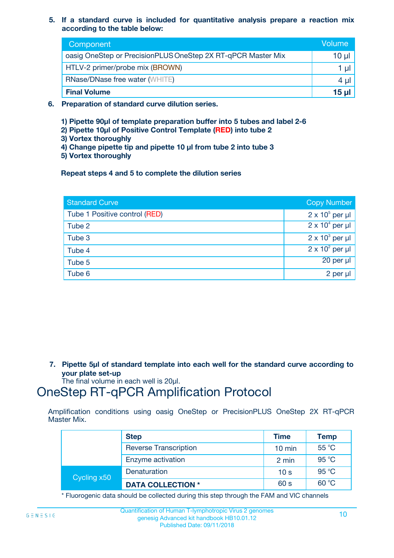**5. If a standard curve is included for quantitative analysis prepare a reaction mix according to the table below:**

| Component                                                    | Volume       |
|--------------------------------------------------------------|--------------|
| oasig OneStep or PrecisionPLUS OneStep 2X RT-qPCR Master Mix | 10 µl        |
| HTLV-2 primer/probe mix (BROWN)                              |              |
| <b>RNase/DNase free water (WHITE)</b>                        | $4 \mu$      |
| <b>Final Volume</b>                                          | <u>15 µl</u> |

- **6. Preparation of standard curve dilution series.**
	- **1) Pipette 90µl of template preparation buffer into 5 tubes and label 2-6**
	- **2) Pipette 10µl of Positive Control Template (RED) into tube 2**
	- **3) Vortex thoroughly**
	- **4) Change pipette tip and pipette 10 µl from tube 2 into tube 3**
	- **5) Vortex thoroughly**

**Repeat steps 4 and 5 to complete the dilution series**

| <b>Standard Curve</b>         | <b>Copy Number</b>     |
|-------------------------------|------------------------|
| Tube 1 Positive control (RED) | $2 \times 10^5$ per µl |
| Tube 2                        | $2 \times 10^4$ per µl |
| Tube 3                        | $2 \times 10^3$ per µl |
| Tube 4                        | $2 \times 10^2$ per µl |
| Tube 5                        | 20 per µl              |
| Tube 6                        | $2$ per $\mu$          |

**7. Pipette 5µl of standard template into each well for the standard curve according to your plate set-up**

The final volume in each well is 20µl.

### OneStep RT-qPCR Amplification Protocol

Amplification conditions using oasig OneStep or PrecisionPLUS OneStep 2X RT-qPCR Master Mix.

|             | <b>Step</b>                  | <b>Time</b>      | <b>Temp</b> |
|-------------|------------------------------|------------------|-------------|
|             | <b>Reverse Transcription</b> | $10 \text{ min}$ | 55 °C       |
|             | Enzyme activation            | 2 min            | 95 °C       |
| Cycling x50 | Denaturation                 | 10 <sub>s</sub>  | 95 °C       |
|             | <b>DATA COLLECTION *</b>     | 60 s             | 60 °C       |

\* Fluorogenic data should be collected during this step through the FAM and VIC channels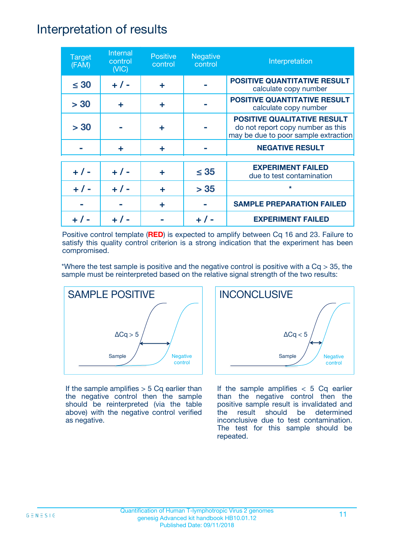### Interpretation of results

| <b>Target</b><br>(FAM) | Internal<br>control<br>(NIC) | <b>Positive</b><br>control | <b>Negative</b><br>control | Interpretation                                                                                                  |
|------------------------|------------------------------|----------------------------|----------------------------|-----------------------------------------------------------------------------------------------------------------|
| $\leq 30$              | $+ 1 -$                      | ÷                          |                            | <b>POSITIVE QUANTITATIVE RESULT</b><br>calculate copy number                                                    |
| > 30                   | ÷                            | ÷                          |                            | <b>POSITIVE QUANTITATIVE RESULT</b><br>calculate copy number                                                    |
| > 30                   |                              | ÷                          |                            | <b>POSITIVE QUALITATIVE RESULT</b><br>do not report copy number as this<br>may be due to poor sample extraction |
|                        | ÷                            | ÷                          |                            | <b>NEGATIVE RESULT</b>                                                                                          |
| $+ 1 -$                | $+ 1 -$                      | ÷                          | $\leq$ 35                  | <b>EXPERIMENT FAILED</b><br>due to test contamination                                                           |
|                        | $+ 1 -$                      |                            | > 35                       | $\star$                                                                                                         |
|                        |                              | ÷                          |                            | <b>SAMPLE PREPARATION FAILED</b>                                                                                |
|                        |                              |                            |                            | <b>EXPERIMENT FAILED</b>                                                                                        |

Positive control template (**RED**) is expected to amplify between Cq 16 and 23. Failure to satisfy this quality control criterion is a strong indication that the experiment has been compromised.

\*Where the test sample is positive and the negative control is positive with a  $Cq > 35$ , the sample must be reinterpreted based on the relative signal strength of the two results:



If the sample amplifies  $> 5$  Cq earlier than the negative control then the sample should be reinterpreted (via the table above) with the negative control verified as negative.



If the sample amplifies  $< 5$  Cq earlier than the negative control then the positive sample result is invalidated and the result should be determined inconclusive due to test contamination. The test for this sample should be repeated.